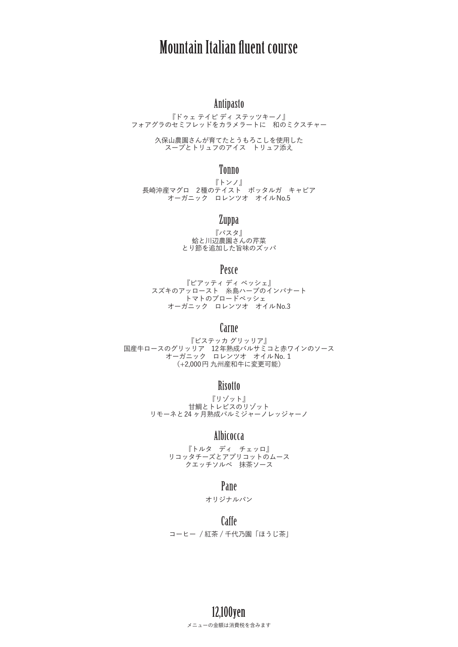# Mountain Italian fluent course

## Antipasto

『ドゥェ テイピ ディ ステッツキーノ』 フォアグラのセミフレッドをカラメラートに 和のミクスチャー

> 久保山農園さんが育てたとうもろこしを使用した スープとトリュフのアイス トリュフ添え

### Tonno

『トンノ』 長崎沖産マグロ 2種のテイスト ボッタルガ キャビア オーガニック ロレンツオ オイルNo.5

#### Zuppa

『パスタ』 蛤と川辺農園さんの芹菜 とり節を追加した旨味のズッパ

## Pesce

『ピアッティ ディ ペッシェ』 スズキのアッロースト 糸島ハーブのインパナート トマトのブロードペッシェ オーガニック ロレンツオ オイルNo.3

### Carne

『ビステッカ グリッリア』 国産牛ロースのグリッリア 12年熟成バルサミコと赤ワインのソース オーガニック ロレンツオ オイルNo.1 (+2,000円 九州産和牛に変更可能)

## **Risotto**

『リゾット』 甘鯛とトレビスのリゾット リモーネと24 ヶ月熟成パルミジャーノレッジャーノ

## Albicocca

『トルタ ディ チェッロ』 リコッタチーズとアプリコットのムース クエッチソルベ 抹茶ソース

#### Pane

オリジナルパン

Caffe コーヒー / 紅茶 / 千代乃園「ほうじ茶」

## 12,100yen メニューの金額は消費税を含みます